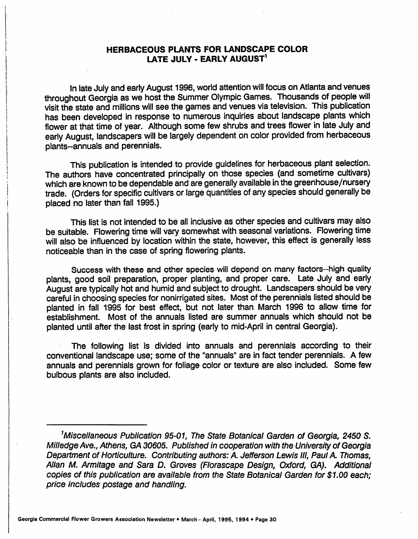## *HERBACEOUS PLANTS FOR LANDSCAPE COLOR LATE JULY - EARLY AUGUST1*

In late July and early August 1996, world attention will focus on Atlanta and venues throughout Georgia as we host the Summer Olympic Games. Thousands of people will visit the state and millions will see the games and venues via television. This publication has been developed in response to numerous inquiries about landscape plants which flower at that time of year. Although some few shrubs and trees flower in late July and early August, landscapers will be largely dependent on color provided from herbaceous plants-annuals and perennials.

This publication is intended to provide guidelines for herbaceous plant selection. The authors have concentrated principally on those species (and sometime cultivars) which are known to be dependable and are generally available in the greenhouse/nursery trade. (Orders for specific cultivars or large quantities of any species should generally be placed no later than fall 1995.)

This list is not intended to be all inclusive as other species and cultivars may also be suitable. Flowering time will vary somewhat with seasonal variations. Flowering time will also be influenced by location within the state, however, this effect is generally less noticeable than in the case of spring flowering plants.

Success with these and other species will depend on many factors-high quality plants, good soil preparation, proper planting, and proper care. Late July and early August are typically hot and humid and subject to drought. Landscapers should be very careful in choosing species for nonirrigated sites. Most of the perennials listed should be planted in fall 1995 for best effect, but not later than March 1996 to allow time for establishment. Most of the annuals listed are summer annuals which should not be planted until after the last frost in spring (early to mid-April in central Georgia).

The following list is divided into annuals and perennials according to their conventional landscape use; some of the "annuals" are in fact tender perennials. A few annuals and perennials grown for foliage color or texture are also included. Some few bulbous plants are also included.

**<sup>&#</sup>x27;Miscellaneous Publication 95-01, The State Botanical Garden of Georgia, 2450 S. MllledgeAve., Athens, GA 30605. Published in cooperation with the University of Georgia Department of Horticulture. Contributingauthors:** A **Jefferson Lewis III, Paul A Thomas, Allan M. Armitage and Sara D. Groves (Florascape Design, Oxford, GA). Additional copies of this publication are available from the State Botanical Garden for \$1.00 each; price includes postage and handling.**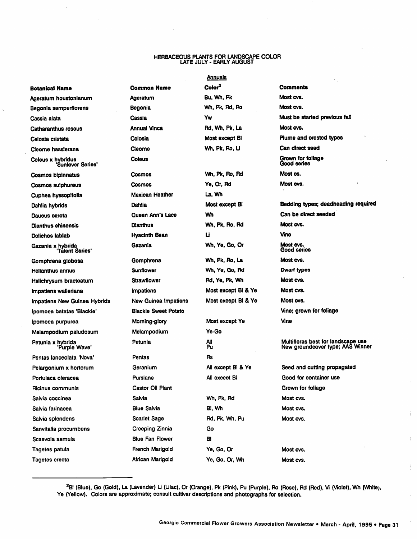## *HERBACEOUS PLANTS FOR LANDSCAPE COLOR LATE JULY - EARLY AUGUST*

## *Annuals*

| Botanical Name                         | Common Name                 | Color <sup>2</sup>  | <b>Comments</b>                   |
|----------------------------------------|-----------------------------|---------------------|-----------------------------------|
| Ageratum houstonianum                  | Ageratum                    | Bu, Wh, Pk          | Most cvs.                         |
| Begonia semperflorens                  | Begonia                     | Wh, Pk, Rd, Ro      | Most cvs.                         |
| Cassia alata                           | Cassia                      | Yw                  | Must be started                   |
| <b>Catharanthus roseus</b>             | <b>Annual Vinca</b>         | Rd, Wh, Pk, La      | Most cvs.                         |
| Celosia cristata                       | Celosia                     | Most except BI      | <b>Plume and cres</b>             |
| Cleome hasslerana                      | Cleome                      | Wh, Pk, Ro, Ll      | Can direct seed                   |
| Coleus x hybridus<br>'Sunlover Series' | Coleus                      |                     | Grown for foliag<br>Good series   |
| Cosmos bipinnatus                      | Cosmos                      | Wh, Pk, Ro, Rd      | Most cs.                          |
| Cosmos sulphureus                      | Cosmos                      | Ye, Or, Rd          | Most cvs.                         |
| Cuphea hyssopifolia                    | Mexican Heather             | La, Wh              |                                   |
| Dahlia hybrids                         | Dahlia                      | Most except BI      | Bedding types;                    |
| Daucus carota                          | Queen Ann's Lace            | Wh                  | Can be direct s                   |
| Dianthus chinensis                     | <b>Dianthus</b>             | Wh, Pk, Ro, Rd      | Most cvs.                         |
| Dolichos lablab                        | Hyacinth Bean               | U                   | Vine                              |
| Gazania x hybrida<br>"Talent Series"   | Gazania                     | Wh, Ye, Go, Or      | Most cvs.<br>Good series          |
| Gomphrena globosa                      | Gomphrena                   | Wh, Pk, Ro, La      | Most cvs.                         |
| Helianthus annus                       | <b>Sunflower</b>            | Wh, Ye, Go, Rd      | Dwarf types                       |
| Helichrysum bracteatum                 | <b>Strawflower</b>          | Rd, Ye, Pk, Wh      | Most cvs.                         |
| Impatiens walleriana                   | <i><b>Impatiens</b></i>     | Most except BI & Ye | Most cvs.                         |
| Impatiens New Guinea Hybrids           | <b>New Guinea Impatiens</b> | Most except BI & Ye | Most cvs.                         |
| Ipomoea batatas 'Blackie'              | <b>Blackie Sweet Potato</b> |                     | Vine; grown for                   |
| Ipomosa purpurea                       | Morning-glory               | Most except Ye      | Vine                              |
| Melampodium paludosum                  | Melampodium                 | Ye-Go               |                                   |
| Petunia x hybrida<br>'Purple Wave'     | Petunia                     | All<br>Pu           | Multifloras best<br>New groundcov |
| Pentas lanceolata 'Nova'               | Pentas                      | Rs                  |                                   |
| Pelargonium x hortorum                 | Geranium                    | All except BI & Ye  | Seed and cuttir                   |
| Portulaca oleracea                     | Purslane                    | All excect BI       | Good for conta                    |
| Ricinus communis.                      | Castor Oil Plant            |                     | Grown for folia                   |
| Salvia coccinea                        | Salvia                      | Wh. Pk. Rd          | Most cvs.                         |
| Salvia farinacea                       | <b>Blue Salvia</b>          | Bi, Wh              | Most cvs.                         |
| Salvia splendens                       | <b>Scarlet Sage</b>         | Rd. Pk. Wh. Pu      | Most cvs.                         |
| Sanvitalia procumbens                  | Creeping Zinnia             | Go                  |                                   |
| Scaevola aemula                        | <b>Blue Fan Flower</b>      | BI                  |                                   |
| Tagetes patula                         | French Marigold             | Ye, Go, Or          | Most cvs.                         |
| Tagetes erecta                         | African Marigold            | Ye, Go, Or, Wh      | Most cvs.                         |
|                                        |                             |                     |                                   |

*Botanical Name Common Name Color2 Comments Begonia semperflorens Begonia Wh, Pk, Rd, Ro Most cvs. Catharanthus roseus Annual Vinca Rd, Wh. Pk, La Mostcvs. Coleus Grown for foliage Cosmos bipinnatus Cosmos Wh. Pk, Ro, Rd Mostcs. Daucus carota Queen Ann's Lace Wh Can be direct seeded Dianthu8 chinensis Dianthus Wh, Pk, Ro, Rd Mostcvs. Dolichos lablab Hyacinth Bean <sup>U</sup> Vine Gazania Wh, Ye, Go, Or Mostcvs. Helianthus annus Sunflower Wh, Ye, Go, Rd Dwarf types Helichrysum bracteatum Strawflower Rd, Ye, Pk, Wh Mostcvs. Impatiens walleriana Impatiens Most except Bl &Ye Mostcvs. Impatiens New Guinea Hybrids New Guinea Impatiens Most except Bl & Ye Most cvs. Ipomoea batatas 'Blackie' Blackie Sweet Potato Vine; grown for foliage Ipomoea purpurea Morning-glory Most except Ye Vine Pu Ricinus communis Castor Oil Plant Grown for foliage Salvia splendens Scarlet Sage Rd, Pk. Wh, Pu Most cvs.*

*Cassia alata Cassia Yw Must be started previous fall Celosia cristata Celosia Most except Bl Plume and crested types Good series Dahlia hybrids Dahlia Most except Bl Bedding types; deadheading required Good series Multifloras best for landscape use N8w groundcover type; AASWinner Pelargonium x hortorum Geranium All except Bl &Ye Seed and cutting propagated Portulaca oleracea Purslane All excect Bl Good for container use*

<sup>2</sup>Bl (Blue), Go (Gold), La (Lavender) Li (Lilac), Or (Orange), Pk (Pink), Pu (Purple), Ro (Rose), Rd (Red), Vi (Violet), Wh (White), *Ye (Yellow). Colors are approximate; consult cultivar descriptions and photographs for selection.*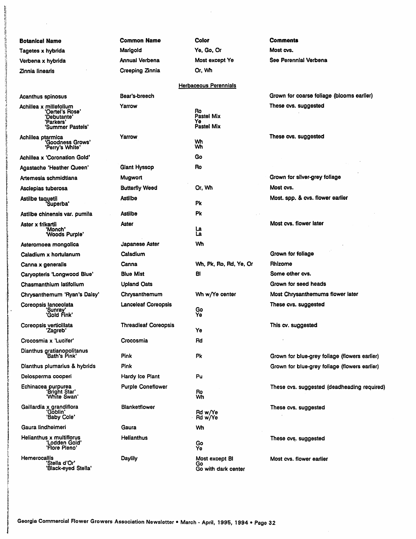| <b>Botanical Name</b>                                                                     | <b>Common Name</b>          | <b>Color</b>                                       | Comments                                      |  |  |  |  |
|-------------------------------------------------------------------------------------------|-----------------------------|----------------------------------------------------|-----------------------------------------------|--|--|--|--|
| Tagetes x hybrida                                                                         | Marigold                    | Ye, Go, Or                                         | Most cvs.                                     |  |  |  |  |
| Verbena x hybrida                                                                         | Annual Verbena              | Most except Ye                                     | See Perennial Verbena                         |  |  |  |  |
| Zinnia linearis                                                                           | Creeping Zinnia             | Or, Wh                                             |                                               |  |  |  |  |
| <b>Herbaceous Perennials</b>                                                              |                             |                                                    |                                               |  |  |  |  |
| <b>Acanthus spinosus</b>                                                                  | Bear's-breech               |                                                    | Grown for coarse foliage (blooms earlier)     |  |  |  |  |
| Achillea x millefolium<br>'Oertel's Rose'<br>'Debutante'<br>'Parkers'<br>'Summer Pastels' | Yarrow                      | Ro<br><b>Pastel Mix</b><br>Ye<br><b>Pastel Mix</b> | These cvs. suggested                          |  |  |  |  |
| Achillea ptarmica<br>"Goodness Grows"<br>"Perry's White"                                  | Yarrow                      | Wh<br>Wh                                           | These cvs. suggested                          |  |  |  |  |
| <b>Achillea x 'Coronation Gold'</b>                                                       |                             | Go                                                 |                                               |  |  |  |  |
| Agastache 'Heather Queen'                                                                 | Giant Hyssop                | Ro                                                 |                                               |  |  |  |  |
| Artemesia schmidtiana                                                                     | Mugwort                     |                                                    | Grown for silver-grey foliage                 |  |  |  |  |
| Asclepias tuberosa                                                                        | <b>Butterfly Weed</b>       | Or, Wh                                             | Most cvs.                                     |  |  |  |  |
| Astilbe taquetii<br>'Superba'                                                             | Astilbe                     | Pk                                                 | Most. spp. & cvs. flower earlier              |  |  |  |  |
| Astilbe chinensis var. pumila                                                             | <b>Astilbe</b>              | Pk                                                 |                                               |  |  |  |  |
| Aster x frikartii<br>'Monch'<br>'Woods Purple'                                            | Aster                       | ها<br>La                                           | Most cys. flower later                        |  |  |  |  |
| Asteromoea mongolica                                                                      | Japanese Aster              | Wh                                                 |                                               |  |  |  |  |
| Caladium x hortulanum                                                                     | Caladium                    |                                                    | Grown for foliage                             |  |  |  |  |
| Canna x generalis                                                                         | Canna                       | Wh, Pk, Ro, Rd, Ye, Or                             | Rhizome                                       |  |  |  |  |
| Caryopteris 'Longwood Blue'                                                               | <b>Blue Mist</b>            | BI                                                 | Some other cvs.                               |  |  |  |  |
| Chasmanthium latifolium                                                                   | <b>Upland Oats</b>          |                                                    | Grown for seed heads                          |  |  |  |  |
| Chrysanthemum 'Ryan's Daisy'                                                              | Chrysanthemum               | Wh w/Ye center                                     | Most Chrysanthemums flower later              |  |  |  |  |
| Coreopsis lanceolata<br>'Sunray'<br>'Gold Fink'                                           | <b>Lanceleaf Coreopsis</b>  | Go<br>Ye                                           | These cvs. suggested                          |  |  |  |  |
| Coreopsis verticillata<br>'Zagreb'                                                        | <b>Threadleaf Coreopsis</b> | Ye                                                 | This cv. suggested                            |  |  |  |  |
| Crocosmia x 'Lucifer'                                                                     | Crocosmia                   | Rd                                                 |                                               |  |  |  |  |
| Dianthus gratianopolitanus<br>"Bath's Pink"                                               | <b>Pink</b>                 | Рk                                                 | Grown for blue-grey foliage (flowers earlier) |  |  |  |  |
| Dianthus plumarius & hybrids                                                              | Pink                        |                                                    | Grown for blue-grey foliage (flowers earlier) |  |  |  |  |
| Delosperma cooperi                                                                        | Hardy Ice Plant             | Pu                                                 |                                               |  |  |  |  |
| Echinacea purpurea<br>'Bright Star'<br>'White Swan'                                       | <b>Purple Coneflower</b>    | Ro<br>Wh                                           | These cvs. suggested (deadheading required)   |  |  |  |  |
| Gaillardia x grandiflora<br>'Gòblin'<br>'Baby Cole'                                       | Blanketflower               | Rd w/Ye<br>Rd w/Ye                                 | These cvs. suggested                          |  |  |  |  |
| Gaura lindheimeri                                                                         | Gaura                       | Wh                                                 |                                               |  |  |  |  |
| Helianthus x multiflorus<br>'Lodden Gold'<br>'Flore Pleno'                                | Helianthus                  | Go<br>Ye                                           | These cvs. suggested                          |  |  |  |  |
| <b>Hemerocallis</b><br>'Stella d'Or'<br>'Black-eyed Stella'                               | Daylily                     | Most except BI<br>Go<br>Go with dark center        | Most cvs. flower earlier                      |  |  |  |  |

 $\sim$ 

 $\sim$